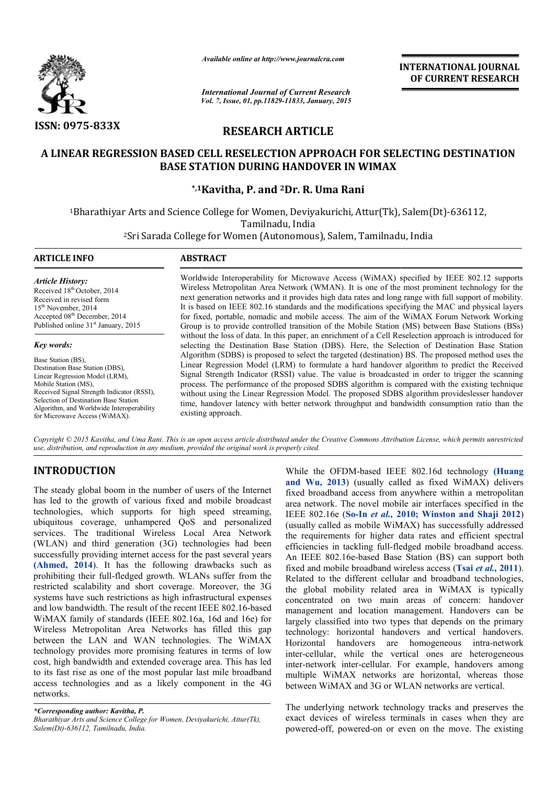

*Available online at http://www.journalcra.com*

*International Journal of Current Research Vol. 7, Issue, 01, pp.11829-11833, January, 2015* **INTERNATIONAL INTERNATIONAL JOURNAL OF CURRENT RESEARCH** 

# **RESEARCH ARTICLE**

# **A LINEAR REGRESSION BASED CELL RESELECTION APPROACH FOR SELECTING DESTINATION A LINEAR APPROACH FOR DESTINATION BASE STATION DURING HANDOVER IN WIMAX**

# **\*,1 1Kavitha, P. and 2Dr. R. Uma Rani**

1Bharathiyar Arts and Science College for Women, Deviyakurichi, Attur(Tk), Salem(Dt)-636112, Tamilnadu, India

<sup>2</sup>Sri Sarada College for Women (Autonomous), Salem, Tamilnadu, India

| <b>ARTICLE INFO</b>                                                                                                                                                                                                                                                                                       | <b>ABSTRACT</b>                                                                                                                                                                                                                                                                                                                                                                                                                                                                                                                                                                                                                                                                                                                                                                                                                                                                                                                                                                                                                                                                                                                                                                                                                                                                                                                                                                                                                                                  |
|-----------------------------------------------------------------------------------------------------------------------------------------------------------------------------------------------------------------------------------------------------------------------------------------------------------|------------------------------------------------------------------------------------------------------------------------------------------------------------------------------------------------------------------------------------------------------------------------------------------------------------------------------------------------------------------------------------------------------------------------------------------------------------------------------------------------------------------------------------------------------------------------------------------------------------------------------------------------------------------------------------------------------------------------------------------------------------------------------------------------------------------------------------------------------------------------------------------------------------------------------------------------------------------------------------------------------------------------------------------------------------------------------------------------------------------------------------------------------------------------------------------------------------------------------------------------------------------------------------------------------------------------------------------------------------------------------------------------------------------------------------------------------------------|
| <b>Article History:</b><br>Received 18 <sup>th</sup> October, 2014<br>Received in revised form<br>$15th$ November, 2014<br>Accepted 08 <sup>th</sup> December, 2014<br>Published online 31 <sup>st</sup> January, 2015                                                                                    | Worldwide Interoperability for Microwave Access (WiMAX) specified by IEEE 802.12 supports<br>Wireless Metropolitan Area Network (WMAN). It is one of the most prominent technology for the<br>next generation networks and it provides high data rates and long range with full support of mobility.<br>It is based on IEEE 802.16 standards and the modifications specifying the MAC and physical layers<br>for fixed, portable, nomadic and mobile access. The aim of the WiMAX Forum Network Working<br>Group is to provide controlled transition of the Mobile Station (MS) between Base Stations (BSs)<br>without the loss of data. In this paper, an enrichment of a Cell Reselection approach is introduced for<br>selecting the Destination Base Station (DBS). Here, the Selection of Destination Base Station<br>Algorithm (SDBS) is proposed to select the targeted (destination) BS. The proposed method uses the<br>Linear Regression Model (LRM) to formulate a hard handover algorithm to predict the Received<br>Signal Strength Indicator (RSSI) value. The value is broadcasted in order to trigger the scanning<br>process. The performance of the proposed SDBS algorithm is compared with the existing technique<br>without using the Linear Regression Model. The proposed SDBS algorithm provides lesser handover<br>time, handover latency with better network throughput and bandwidth consumption ratio than the<br>existing approach. |
| <b>Key words:</b><br>Base Station (BS),<br>Destination Base Station (DBS),<br>Linear Regression Model (LRM),<br>Mobile Station (MS),<br>Received Signal Strength Indicator (RSSI),<br>Selection of Destination Base Station<br>Algorithm, and Worldwide Interoperability<br>for Microwave Access (WiMAX). |                                                                                                                                                                                                                                                                                                                                                                                                                                                                                                                                                                                                                                                                                                                                                                                                                                                                                                                                                                                                                                                                                                                                                                                                                                                                                                                                                                                                                                                                  |

Copyright © 2015 Kavitha, and Uma Rani. This is an open access article distributed under the Creative Commons Attribution License, which permits unrestricted *use, distribution, and reproduction in any medium, provided the original work is properly cited.*

## **INTRODUCTION**

The steady global boom in the number of users of the Internet has led to the growth of various fixed and mobile broadcast technologies, which supports for high speed streaming, ubiquitous coverage, unhampered QoS and personalized services. The traditional Wireless Local Area Networ Network (WLAN) and third generation (3G) technologies had been successfully providing internet access for the past several years **(Ahmed, 2014**). It has the following drawbacks such as prohibiting their full-fledged growth. WLANs suffer from the restricted scalability and short coverage. Moreover, the 3 systems have such restrictions as high infrastructural expenses and low bandwidth. The result of the recent IEEE 802.16 802.16-based WiMAX family of standards (IEEE 802.16a, 16d and 16e) for Wireless Metropolitan Area Networks has filled this gap between the LAN and WAN technologies. The WiMAX technology provides more promising features in terms of low cost, high bandwidth and extended coverage area. This has led to its fast rise as one of the most popular last mile broadband access technologies and as a likely component in the 4G networks. It has the following drawbacks such as full-fledged growth. WLANs suffer from the ility and short coverage. Moreover, the 3G

While the OFDM-based IEEE 802.16d technology (Huang **and Wu, 2013**) (usually called as fixed WiMAX) delivers fixed broadband access from anywhere within a metropolitan and Wu, 2013) (usually called as fixed WiMAX) delivers fixed broadband access from anywhere within a metropolitan area network. The novel mobile air interfaces specified in the IEEE 802.16e (**So-In** *et al.,* **2010; Winston and Shaji 2012 2010; 2012**) (usually called as mobile WiMAX) has successfully addressed the requirements for higher data rates and efficient spectral efficiencies in tackling full-fledged mobile broadband access. An IEEE 802.16e-based Base Station (BS) can support both fixed and mobile broadband wireless access (Tsai *et al.*, 2011). Related to the different cellular and broadband technologies, the global mobility related area in WiMAX is typically concentrated on two main areas of concern: handover the global mobility related area in WiMAX is typically concentrated on two main areas of concern: handover management and location management. Handovers can be largely classified into two types that depends on the primary largely classified into two types that depends on the primary technology: horizontal handovers and vertical handovers. Horizontal handovers are homogeneous intra-network inter-cellular, while the vertical ones are heterogeneous inter-network inter-cellular. For example, handovers among multiple WiMAX networks are horizontal, whereas those between WiMAX and 3G or WLAN networks are vertical. ally called as mobile WiMAX) has successfully addressed<br>requirements for higher data rates and efficient spectral<br>iencies in tackling full-fledged mobile broadband access.<br>IEEE 802.16e-based Base Station (BS) can support b cellular, while the vertical ones are heterogeneous<br>network inter-cellular. For example, handovers among<br>ple WiMAX networks are horizontal, whereas those<br>een WiMAX and 3G or WLAN networks are vertical.<br>underlying network t

The underlying network technology tracks and preserves the exact devices of wireless terminals in cases when they are powered-off, powered-on or even on the move. The

*<sup>\*</sup>Corresponding author: Kavitha, P. Bharathiyar Arts and Science College for Women, Deviyakurichi, Attur(Tk), Salem(Dt)-636112, Tamilnadu, India.*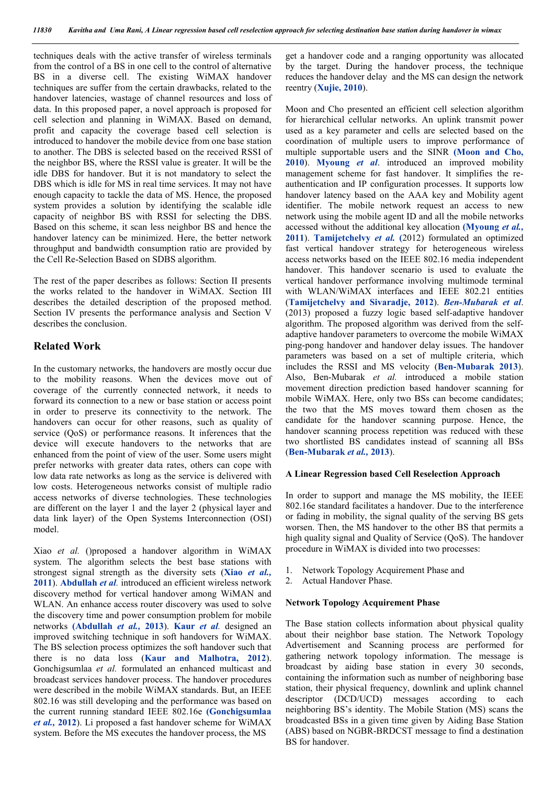techniques deals with the active transfer of wireless terminals from the control of a BS in one cell to the control of alternative BS in a diverse cell. The existing WiMAX handover techniques are suffer from the certain drawbacks, related to the handover latencies, wastage of channel resources and loss of data. In this proposed paper, a novel approach is proposed for cell selection and planning in WiMAX. Based on demand, profit and capacity the coverage based cell selection is introduced to handover the mobile device from one base station to another. The DBS is selected based on the received RSSI of the neighbor BS, where the RSSI value is greater. It will be the idle DBS for handover. But it is not mandatory to select the DBS which is idle for MS in real time services. It may not have enough capacity to tackle the data of MS. Hence, the proposed system provides a solution by identifying the scalable idle capacity of neighbor BS with RSSI for selecting the DBS. Based on this scheme, it scan less neighbor BS and hence the handover latency can be minimized. Here, the better network throughput and bandwidth consumption ratio are provided by the Cell Re-Selection Based on SDBS algorithm.

The rest of the paper describes as follows: Section II presents the works related to the handover in WiMAX. Section III describes the detailed description of the proposed method. Section IV presents the performance analysis and Section V describes the conclusion.

## **Related Work**

In the customary networks, the handovers are mostly occur due to the mobility reasons. When the devices move out of coverage of the currently connected network, it needs to forward its connection to a new or base station or access point in order to preserve its connectivity to the network. The handovers can occur for other reasons, such as quality of service (QoS) or performance reasons. It inferences that the device will execute handovers to the networks that are enhanced from the point of view of the user. Some users might prefer networks with greater data rates, others can cope with low data rate networks as long as the service is delivered with low costs. Heterogeneous networks consist of multiple radio access networks of diverse technologies. These technologies are different on the layer 1 and the layer 2 (physical layer and data link layer) of the Open Systems Interconnection (OSI) model.

Xiao *et al.* ()proposed a handover algorithm in WiMAX system. The algorithm selects the best base stations with strongest signal strength as the diversity sets (**Xiao** *et al.,*  **2011**). **Abdullah** *et al.* introduced an efficient wireless network discovery method for vertical handover among WiMAN and WLAN. An enhance access router discovery was used to solve the discovery time and power consumption problem for mobile networks **(Abdullah** *et al.,* **2013**). **Kaur** *et al.* designed an improved switching technique in soft handovers for WiMAX. The BS selection process optimizes the soft handover such that there is no data loss (**Kaur and Malhotra, 2012**). Gonchigsumlaa *et al.* formulated an enhanced multicast and broadcast services handover process. The handover procedures were described in the mobile WiMAX standards. But, an IEEE 802.16 was still developing and the performance was based on the current running standard IEEE 802.16e **(Gonchigsumlaa**  *et al.,* **2012**). Li proposed a fast handover scheme for WiMAX system. Before the MS executes the handover process, the MS

get a handover code and a ranging opportunity was allocated by the target. During the handover process, the technique reduces the handover delay and the MS can design the network reentry (**Xujie, 2010**).

Moon and Cho presented an efficient cell selection algorithm for hierarchical cellular networks. An uplink transmit power used as a key parameter and cells are selected based on the coordination of multiple users to improve performance of multiple supportable users and the SINR **(Moon and Cho, 2010**). **Myoung** *et al*. introduced an improved mobility management scheme for fast handover. It simplifies the reauthentication and IP configuration processes. It supports low handover latency based on the AAA key and Mobility agent identifier. The mobile network request an access to new network using the mobile agent ID and all the mobile networks accessed without the additional key allocation **(Myoung** *et al.,*  **2011**). **Tamijetchelvy** *et al.* **(**2012) formulated an optimized fast vertical handover strategy for heterogeneous wireless access networks based on the IEEE 802.16 media independent handover. This handover scenario is used to evaluate the vertical handover performance involving multimode terminal with WLAN/WiMAX interfaces and IEEE 802.21 entities (**Tamijetchelvy and Sivaradje, 2012**). *Ben-Mubarak et al*. (2013) proposed a fuzzy logic based self-adaptive handover algorithm. The proposed algorithm was derived from the selfadaptive handover parameters to overcome the mobile WiMAX ping-pong handover and handover delay issues. The handover parameters was based on a set of multiple criteria, which includes the RSSI and MS velocity (**Ben-Mubarak 2013**). Also, Ben-Mubarak *et al.* introduced a mobile station movement direction prediction based handover scanning for mobile WiMAX. Here, only two BSs can become candidates; the two that the MS moves toward them chosen as the candidate for the handover scanning purpose. Hence, the handover scanning process repetition was reduced with these two shortlisted BS candidates instead of scanning all BSs (**Ben-Mubarak** *et al.,* **2013**).

### **A Linear Regression based Cell Reselection Approach**

In order to support and manage the MS mobility, the IEEE 802.16e standard facilitates a handover. Due to the interference or fading in mobility, the signal quality of the serving BS gets worsen. Then, the MS handover to the other BS that permits a high quality signal and Quality of Service (QoS). The handover procedure in WiMAX is divided into two processes:

- 1. Network Topology Acquirement Phase and
- 2. Actual Handover Phase.

#### **Network Topology Acquirement Phase**

The Base station collects information about physical quality about their neighbor base station. The Network Topology Advertisement and Scanning process are performed for gathering network topology information. The message is broadcast by aiding base station in every 30 seconds, containing the information such as number of neighboring base station, their physical frequency, downlink and uplink channel descriptor (DCD/UCD) messages according to each neighboring BS's identity. The Mobile Station (MS) scans the broadcasted BSs in a given time given by Aiding Base Station (ABS) based on NGBR-BRDCST message to find a destination BS for handover.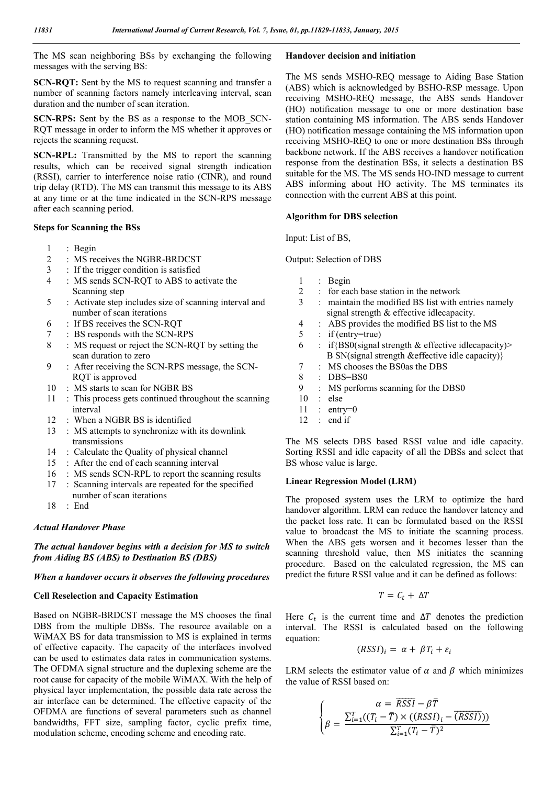The MS scan neighboring BSs by exchanging the following messages with the serving BS:

**SCN-RQT:** Sent by the MS to request scanning and transfer a number of scanning factors namely interleaving interval, scan duration and the number of scan iteration.

**SCN-RPS:** Sent by the BS as a response to the MOB\_SCN-RQT message in order to inform the MS whether it approves or rejects the scanning request.

**SCN-RPL:** Transmitted by the MS to report the scanning results, which can be received signal strength indication (RSSI), carrier to interference noise ratio (CINR), and round trip delay (RTD). The MS can transmit this message to its ABS at any time or at the time indicated in the SCN-RPS message after each scanning period.

#### **Steps for Scanning the BSs**

- 1 : Begin
- 2 : MS receives the NGBR-BRDCST
- 3 : If the trigger condition is satisfied
- 4 : MS sends SCN-RQT to ABS to activate the Scanning step
- 5 : Activate step includes size of scanning interval and number of scan iterations
- 6 : If BS receives the SCN-RQT
- 7 : BS responds with the SCN-RPS
- 8 : MS request or reject the SCN-RQT by setting the scan duration to zero
- 9 : After receiving the SCN-RPS message, the SCN- RQT is approved
- 10 : MS starts to scan for NGBR BS
- 11 : This process gets continued throughout the scanning interval
- 12 : When a NGBR BS is identified
- 13 : MS attempts to synchronize with its downlink transmissions
- 14 : Calculate the Quality of physical channel
- 15 : After the end of each scanning interval
- 16 : MS sends SCN-RPL to report the scanning results
- 17 : Scanning intervals are repeated for the specified
	- number of scan iterations
- 18 : End

#### *Actual Handover Phase*

### *The actual handover begins with a decision for MS to switch from Aiding BS (ABS) to Destination BS (DBS)*

#### *When a handover occurs it observes the following procedures*

#### **Cell Reselection and Capacity Estimation**

Based on NGBR-BRDCST message the MS chooses the final DBS from the multiple DBSs. The resource available on a WiMAX BS for data transmission to MS is explained in terms of effective capacity. The capacity of the interfaces involved can be used to estimates data rates in communication systems. The OFDMA signal structure and the duplexing scheme are the root cause for capacity of the mobile WiMAX. With the help of physical layer implementation, the possible data rate across the air interface can be determined. The effective capacity of the OFDMA are functions of several parameters such as channel bandwidths, FFT size, sampling factor, cyclic prefix time, modulation scheme, encoding scheme and encoding rate.

#### **Handover decision and initiation**

The MS sends MSHO-REQ message to Aiding Base Station (ABS) which is acknowledged by BSHO-RSP message. Upon receiving MSHO-REQ message, the ABS sends Handover (HO) notification message to one or more destination base station containing MS information. The ABS sends Handover (HO) notification message containing the MS information upon receiving MSHO-REQ to one or more destination BSs through backbone network. If the ABS receives a handover notification response from the destination BSs, it selects a destination BS suitable for the MS. The MS sends HO-IND message to current ABS informing about HO activity. The MS terminates its connection with the current ABS at this point.

#### **Algorithm for DBS selection**

Input: List of BS,

### Output: Selection of DBS

- $\frac{1}{2}$  : Begin<br> $\frac{1}{2}$  : for each
- 2 : for each base station in the network
- 3 : maintain the modified BS list with entries namely signal strength  $&$  effective idlecapacity.<br>4  $\cdot$  ABS provides the modified BS list to the
	- : ABS provides the modified BS list to the MS
- 5 : if (entry=true)
- 6 : if  $\{BS0(\text{signal strength} \& \text{effective idlecapacity})\}$ B SN(signal strength &effective idle capacity)}
- 7 : MS chooses the BS0as the DBS
- 8 : DBS=BS0
- 9 : MS performs scanning for the DBS0
- 10 : else
- $11$  : entry=0
- 12 : end if

The MS selects DBS based RSSI value and idle capacity. Sorting RSSI and idle capacity of all the DBSs and select that BS whose value is large.

#### **Linear Regression Model (LRM)**

The proposed system uses the LRM to optimize the hard handover algorithm. LRM can reduce the handover latency and the packet loss rate. It can be formulated based on the RSSI value to broadcast the MS to initiate the scanning process. When the ABS gets worsen and it becomes lesser than the scanning threshold value, then MS initiates the scanning procedure. Based on the calculated regression, the MS can predict the future RSSI value and it can be defined as follows:

$$
T = C_t + \Delta T
$$

Here  $C_t$  is the current time and  $\Delta T$  denotes the prediction interval. The RSSI is calculated based on the following equation:

$$
(RSSI)_i = \alpha + \beta T_i + \varepsilon_i
$$

LRM selects the estimator value of  $\alpha$  and  $\beta$  which minimizes the value of RSSI based on:

$$
\begin{cases}\n\alpha = \overline{RSSI} - \beta \overline{T} \\
\beta = \frac{\sum_{i=1}^{T} ((T_i - \overline{T}) \times ((RSSI)_i - \overline{(RSSI)}))}{\sum_{i=1}^{T} (T_i - \overline{T})^2}\n\end{cases}
$$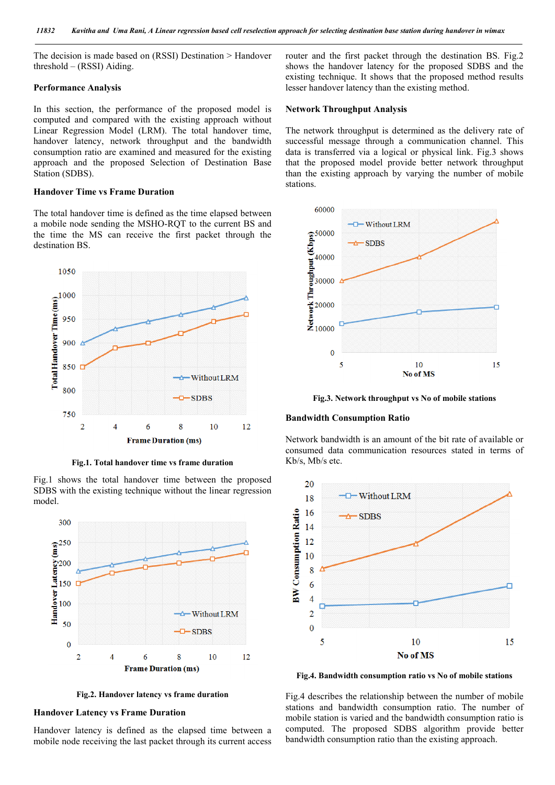The decision is made based on (RSSI) Destination > Handover threshold – (RSSI) Aiding.

### **Performance Analysis**

In this section, the performance of the proposed model is computed and compared with the existing approach without Linear Regression Model (LRM). The total handover time, handover latency, network throughput and the bandwidth consumption ratio are examined and measured for the existing approach and the proposed Selection of Destination Base Station (SDBS).

### **Handover Time vs Frame Duration**

The total handover time is defined as the time elapsed between a mobile node sending the MSHO-RQT to the current BS and the time the MS can receive the first packet through the destination BS.



**Fig.1. Total handover time vs frame duration**

Fig.1 shows the total handover time between the proposed SDBS with the existing technique without the linear regression model.



**Fig.2. Handover latency vs frame duration**

### **Handover Latency vs Frame Duration**

Handover latency is defined as the elapsed time between a mobile node receiving the last packet through its current access router and the first packet through the destination BS. Fig.2 shows the handover latency for the proposed SDBS and the existing technique. It shows that the proposed method results lesser handover latency than the existing method.

#### **Network Throughput Analysis**

The network throughput is determined as the delivery rate of successful message through a communication channel. This data is transferred via a logical or physical link. Fig.3 shows that the proposed model provide better network throughput than the existing approach by varying the number of mobile stations.



**Fig.3. Network throughput vs No of mobile stations**

#### **Bandwidth Consumption Ratio**

Network bandwidth is an amount of the bit rate of available or consumed data communication resources stated in terms of Kb/s, Mb/s etc.



**Fig.4. Bandwidth consumption ratio vs No of mobile stations**

Fig.4 describes the relationship between the number of mobile stations and bandwidth consumption ratio. The number of mobile station is varied and the bandwidth consumption ratio is computed. The proposed SDBS algorithm provide better bandwidth consumption ratio than the existing approach.